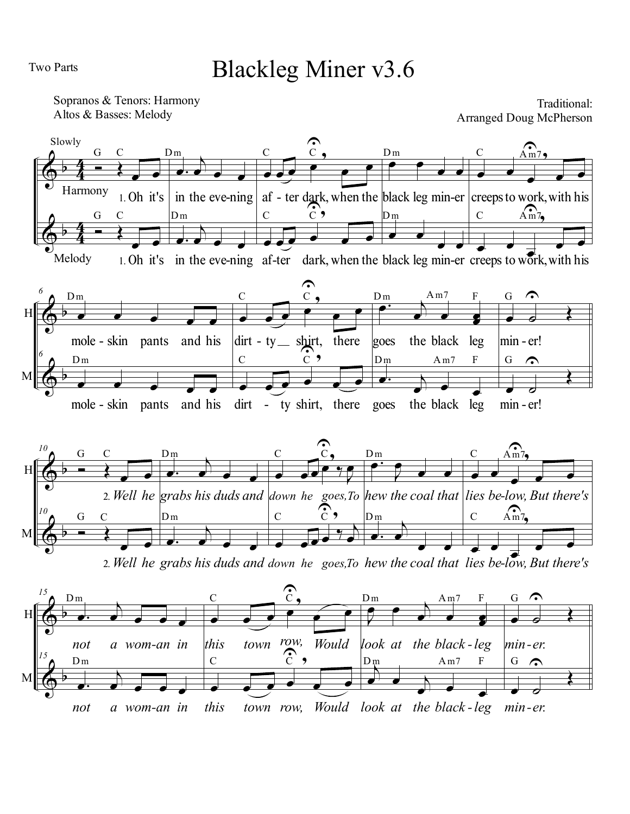Two Parts

## Blackleg Miner v3.6

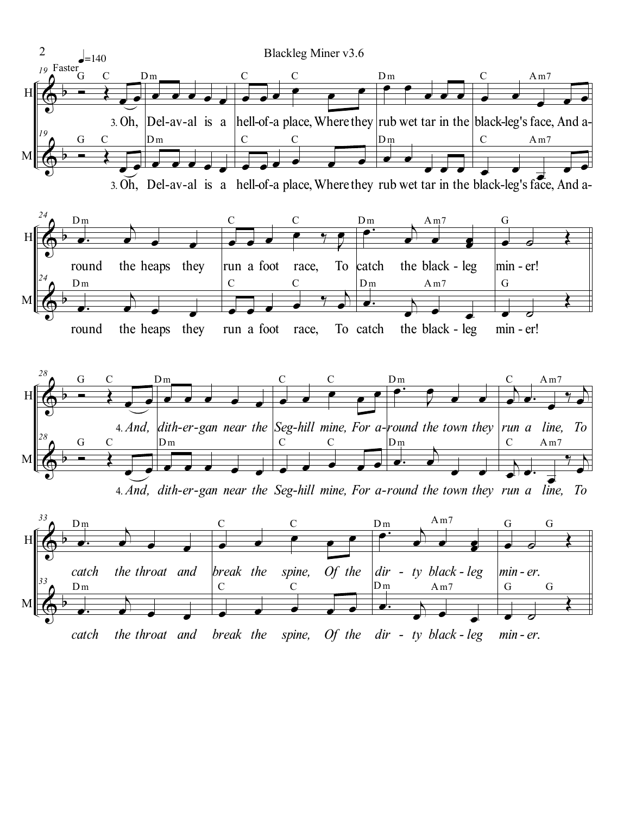